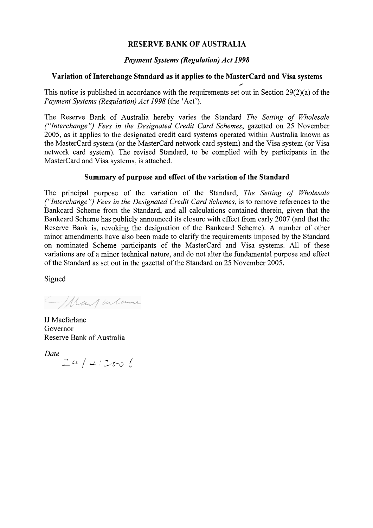# **RESERVE BANK OF AUSTRALIA**

# *Payment Systems (Regulation) Act 1998*

# **Variation of Interchange Standard as it applies to the MasterCard and Visa systems** /

This notice is published in accordance with the requirements set out in Section 29(2)(a) of the *Payment Systems (Regulation) Act 1998* (the 'Act').

The Reserve Bank of Australia hereby varies the Standard *The Setting of Wholesale ("Interchange") Fees in the Designated Credit Card Schemes, gazetted on 25 November* 2005, as it applies to the designated credit card systems operated within Australia known as the MasterCard system (or the MasterCard network card system) and the Visa system (or Visa network card system). The revised Standard, to be complied with by participants in the MasterCard and Visa systems, is attached.

# **Summary of purpose and effect of the variation of the Standard**

The principal purpose of the variation of the Standard, *The Setting of Wholesale ("Interchange* ") *Fees in the Designated Credit Card Schemes,* is to remove references to the Bankcard Scheme from the Standard, and all calculations contained therein, given that the Bankcard Scheme has publicly announced its closure with effect from early 2007 (and that the Reserve Bank is, revoking the designation of the Bankcard Scheme). A number of other minor amendments have also been made to clarify the requirements imposed by the Standard on nominated Scheme participants of the MasterCard and Visa systems. All of these variations are of a minor technical nature, and do not alter the fundamental purpose and effect of the Standard as set out in the gazettal of the Standard on 25 November 2005.

Signed

AMany interne

IJ Macfarlane Governor Reserve Bank of Australia

*Date*  $24 / 42$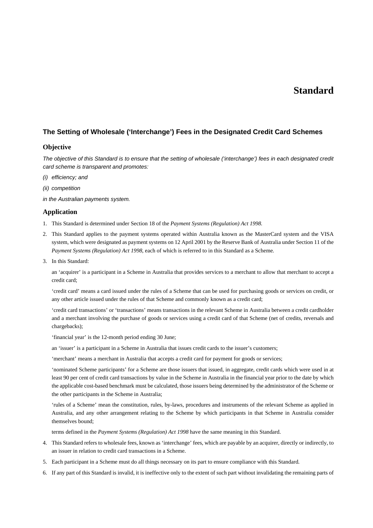# **Standard**

## **The Setting of Wholesale ('Interchange') Fees in the Designated Credit Card Schemes**

## **Objective**

*The objective of this Standard is to ensure that the setting of wholesale ('interchange') fees in each designated credit card scheme is transparent and promotes:* 

- *(i) efficiency; and*
- *(ii) competition*
- *in the Australian payments system.*

## **Application**

- 1. This Standard is determined under Section 18 of the *Payment Systems (Regulation) Act 1998.*
- 2. This Standard applies to the payment systems operated within Australia known as the MasterCard system and the VISA system, which were designated as payment systems on 12 April 2001 by the Reserve Bank of Australia under Section 11 of the *Payment Systems (Regulation) Act 1998*, each of which is referred to in this Standard as a Scheme*.*
- 3. In this Standard:

 an 'acquirer' is a participant in a Scheme in Australia that provides services to a merchant to allow that merchant to accept a credit card;

 'credit card' means a card issued under the rules of a Scheme that can be used for purchasing goods or services on credit, or any other article issued under the rules of that Scheme and commonly known as a credit card;

 'credit card transactions' or 'transactions' means transactions in the relevant Scheme in Australia between a credit cardholder and a merchant involving the purchase of goods or services using a credit card of that Scheme (net of credits, reversals and chargebacks);

'financial year' is the 12-month period ending 30 June;

an 'issuer' is a participant in a Scheme in Australia that issues credit cards to the issuer's customers;

'merchant' means a merchant in Australia that accepts a credit card for payment for goods or services;

 'nominated Scheme participants' for a Scheme are those issuers that issued, in aggregate, credit cards which were used in at least 90 per cent of credit card transactions by value in the Scheme in Australia in the financial year prior to the date by which the applicable cost-based benchmark must be calculated, those issuers being determined by the administrator of the Scheme or the other participants in the Scheme in Australia;

 'rules of a Scheme' mean the constitution, rules, by-laws, procedures and instruments of the relevant Scheme as applied in Australia, and any other arrangement relating to the Scheme by which participants in that Scheme in Australia consider themselves bound;

terms defined in the *Payment Systems (Regulation) Act 1998* have the same meaning in this Standard.

- 4. This Standard refers to wholesale fees, known as 'interchange' fees, which are payable by an acquirer, directly or indirectly, to an issuer in relation to credit card transactions in a Scheme.
- 5. Each participant in a Scheme must do all things necessary on its part to ensure compliance with this Standard.
- 6. If any part of this Standard is invalid, it is ineffective only to the extent of such part without invalidating the remaining parts of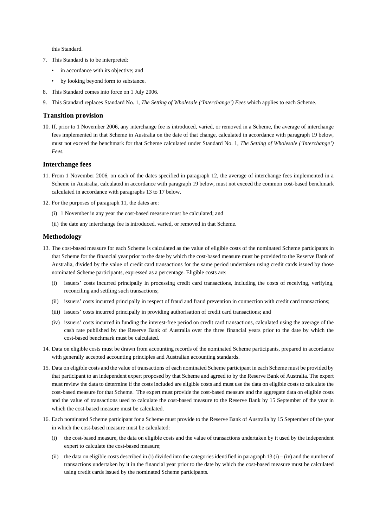this Standard.

- 7. This Standard is to be interpreted:
	- in accordance with its objective; and
	- by looking beyond form to substance.
- 8. This Standard comes into force on 1 July 2006.
- 9. This Standard replaces Standard No. 1, *The Setting of Wholesale ('Interchange') Fees* which applies to each Scheme.

#### **Transition provision**

10. If, prior to 1 November 2006, any interchange fee is introduced, varied, or removed in a Scheme, the average of interchange fees implemented in that Scheme in Australia on the date of that change, calculated in accordance with paragraph 19 below, must not exceed the benchmark for that Scheme calculated under Standard No. 1, *The Setting of Wholesale ('Interchange') Fees.* 

## **Interchange fees**

- 11. From 1 November 2006, on each of the dates specified in paragraph 12, the average of interchange fees implemented in a Scheme in Australia, calculated in accordance with paragraph 19 below, must not exceed the common cost-based benchmark calculated in accordance with paragraphs 13 to 17 below.
- 12. For the purposes of paragraph 11, the dates are:
	- (i) 1 November in any year the cost-based measure must be calculated; and
	- (ii) the date any interchange fee is introduced, varied, or removed in that Scheme.

#### **Methodology**

- 13. The cost-based measure for each Scheme is calculated as the value of eligible costs of the nominated Scheme participants in that Scheme for the financial year prior to the date by which the cost-based measure must be provided to the Reserve Bank of Australia, divided by the value of credit card transactions for the same period undertaken using credit cards issued by those nominated Scheme participants, expressed as a percentage. Eligible costs are:
	- (i) issuers' costs incurred principally in processing credit card transactions, including the costs of receiving, verifying, reconciling and settling such transactions;
	- (ii) issuers' costs incurred principally in respect of fraud and fraud prevention in connection with credit card transactions;
	- (iii) issuers' costs incurred principally in providing authorisation of credit card transactions; and
	- (iv) issuers' costs incurred in funding the interest-free period on credit card transactions, calculated using the average of the cash rate published by the Reserve Bank of Australia over the three financial years prior to the date by which the cost-based benchmark must be calculated.
- 14. Data on eligible costs must be drawn from accounting records of the nominated Scheme participants, prepared in accordance with generally accepted accounting principles and Australian accounting standards.
- 15. Data on eligible costs and the value of transactions of each nominated Scheme participant in each Scheme must be provided by that participant to an independent expert proposed by that Scheme and agreed to by the Reserve Bank of Australia. The expert must review the data to determine if the costs included are eligible costs and must use the data on eligible costs to calculate the cost-based measure for that Scheme. The expert must provide the cost-based measure and the aggregate data on eligible costs and the value of transactions used to calculate the cost-based measure to the Reserve Bank by 15 September of the year in which the cost-based measure must be calculated.
- 16. Each nominated Scheme participant for a Scheme must provide to the Reserve Bank of Australia by 15 September of the year in which the cost-based measure must be calculated:
	- (i) the cost-based measure, the data on eligible costs and the value of transactions undertaken by it used by the independent expert to calculate the cost-based measure;
	- (ii) the data on eligible costs described in (i) divided into the categories identified in paragraph 13 (i) (iv) and the number of transactions undertaken by it in the financial year prior to the date by which the cost-based measure must be calculated using credit cards issued by the nominated Scheme participants.